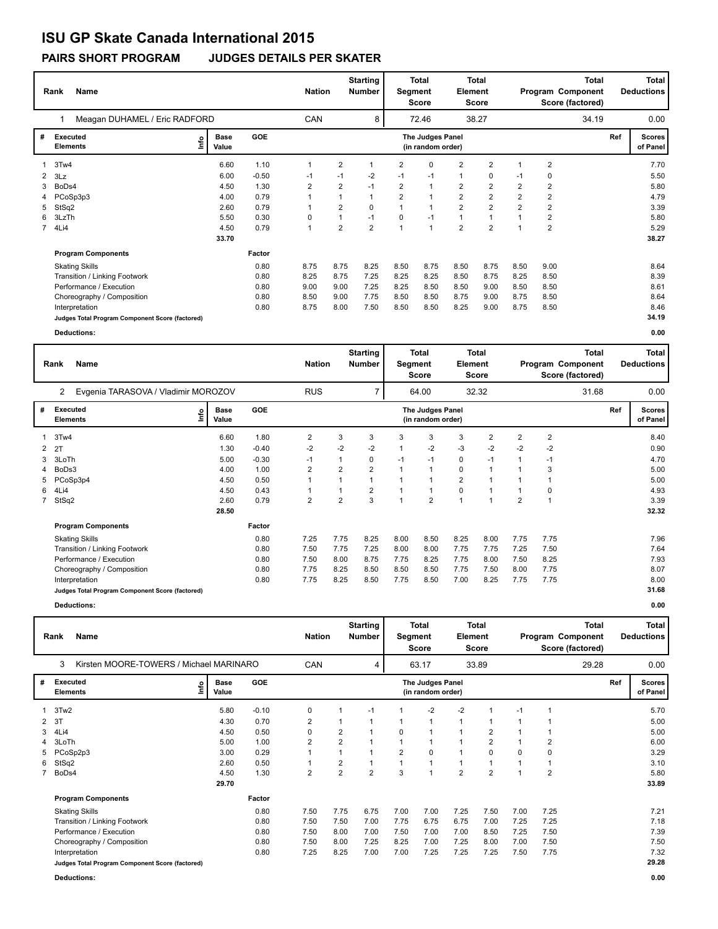# **ISU GP Skate Canada International 2015**

**PAIRS SHORT PROGRAM JUDGES DETAILS PER SKATER**

|             | Name<br>Rank                                    |                      | <b>Starting</b><br>Total<br>Total<br><b>Nation</b><br><b>Number</b><br>Segment<br>Element<br><b>Score</b><br><b>Score</b> |                |                |                |                |                                       |                |                | <b>Total</b><br>Program Component<br>Score (factored) |                | <b>Total</b><br><b>Deductions</b> |     |                           |
|-------------|-------------------------------------------------|----------------------|---------------------------------------------------------------------------------------------------------------------------|----------------|----------------|----------------|----------------|---------------------------------------|----------------|----------------|-------------------------------------------------------|----------------|-----------------------------------|-----|---------------------------|
|             | Meagan DUHAMEL / Eric RADFORD                   |                      |                                                                                                                           | CAN            |                | 8              |                | 72.46                                 |                | 38.27          |                                                       |                | 34.19                             |     | 0.00                      |
| #           | Executed<br>١m<br><b>Elements</b>               | <b>Base</b><br>Value | <b>GOE</b>                                                                                                                |                |                |                |                | The Judges Panel<br>(in random order) |                |                |                                                       |                |                                   | Ref | <b>Scores</b><br>of Panel |
| 1           | 3Tw4                                            | 6.60                 | 1.10                                                                                                                      | 1              | 2              |                | 2              | 0                                     | 2              | $\overline{2}$ |                                                       | $\overline{2}$ |                                   |     | 7.70                      |
| 2           | 3Lz                                             | 6.00                 | $-0.50$                                                                                                                   | -1             | $-1$           | $-2$           | $-1$           | $-1$                                  | $\mathbf{1}$   | 0              | -1                                                    | 0              |                                   |     | 5.50                      |
| 3           | BoDs4                                           | 4.50                 | 1.30                                                                                                                      | $\overline{2}$ | $\overline{2}$ | $-1$           | 2              | $\mathbf{1}$                          | $\overline{2}$ | 2              | $\overline{2}$                                        | $\overline{2}$ |                                   |     | 5.80                      |
|             | 4 PCoSp3p3                                      | 4.00                 | 0.79                                                                                                                      | $\mathbf{1}$   | $\overline{1}$ |                | $\overline{2}$ | $\overline{1}$                        | $\overline{2}$ | $\overline{2}$ | $\overline{2}$                                        | $\overline{2}$ |                                   |     | 4.79                      |
| 5           | StSq2                                           | 2.60                 | 0.79                                                                                                                      | 1              | 2              | 0              |                | $\mathbf{1}$                          | $\overline{2}$ | $\overline{2}$ | $\overline{2}$                                        | 2              |                                   |     | 3.39                      |
| 6.          | 3LzTh                                           | 5.50                 | 0.30                                                                                                                      | 0              | $\mathbf{1}$   | $-1$           | 0              | $-1$                                  | $\mathbf{1}$   | $\overline{1}$ | 1                                                     | $\overline{2}$ |                                   |     | 5.80                      |
| $7^{\circ}$ | 4Li4                                            | 4.50                 | 0.79                                                                                                                      | 1              | $\overline{2}$ | $\overline{2}$ | $\overline{1}$ | $\mathbf{1}$                          | $\overline{2}$ | $\overline{2}$ | 1                                                     | $\overline{2}$ |                                   |     | 5.29                      |
|             |                                                 | 33.70                |                                                                                                                           |                |                |                |                |                                       |                |                |                                                       |                |                                   |     | 38.27                     |
|             | <b>Program Components</b>                       |                      | Factor                                                                                                                    |                |                |                |                |                                       |                |                |                                                       |                |                                   |     |                           |
|             | <b>Skating Skills</b>                           |                      | 0.80                                                                                                                      | 8.75           | 8.75           | 8.25           | 8.50           | 8.75                                  | 8.50           | 8.75           | 8.50                                                  | 9.00           |                                   |     | 8.64                      |
|             | Transition / Linking Footwork                   |                      | 0.80                                                                                                                      | 8.25           | 8.75           | 7.25           | 8.25           | 8.25                                  | 8.50           | 8.75           | 8.25                                                  | 8.50           |                                   |     | 8.39                      |
|             | Performance / Execution                         |                      | 0.80                                                                                                                      | 9.00           | 9.00           | 7.25           | 8.25           | 8.50                                  | 8.50           | 9.00           | 8.50                                                  | 8.50           |                                   |     | 8.61                      |
|             | Choreography / Composition                      |                      | 0.80                                                                                                                      | 8.50           | 9.00           | 7.75           | 8.50           | 8.50                                  | 8.75           | 9.00           | 8.75                                                  | 8.50           |                                   |     | 8.64                      |
|             | Interpretation                                  |                      | 0.80                                                                                                                      | 8.75           | 8.00           | 7.50           | 8.50           | 8.50                                  | 8.25           | 9.00           | 8.75                                                  | 8.50           |                                   |     | 8.46                      |
|             | Judges Total Program Component Score (factored) |                      |                                                                                                                           |                |                |                |                |                                       |                |                |                                                       |                |                                   |     | 34.19                     |
|             | <b>Deductions:</b>                              |                      |                                                                                                                           |                |                |                |                |                                       |                |                |                                                       |                |                                   |     | 0.00                      |

|   | <b>Name</b><br>Rank                                          |                            |         |                | <b>Starting</b><br><b>Nation</b><br><b>Number</b> |                |      | Total<br>Segment<br><b>Score</b>      | Element        | <b>Total</b><br><b>Score</b> | Total<br>Program Component<br>Score (factored) |      |       | <b>Total</b><br><b>Deductions</b> |                           |
|---|--------------------------------------------------------------|----------------------------|---------|----------------|---------------------------------------------------|----------------|------|---------------------------------------|----------------|------------------------------|------------------------------------------------|------|-------|-----------------------------------|---------------------------|
|   | Evgenia TARASOVA / Vladimir MOROZOV<br>$\mathbf{2}^{\prime}$ |                            |         | <b>RUS</b>     |                                                   | 7              |      | 64.00                                 |                | 32.32                        |                                                |      | 31.68 |                                   | 0.00                      |
| # | <b>Executed</b><br><b>Elements</b>                           | <b>Base</b><br>١n<br>Value | GOE     |                |                                                   |                |      | The Judges Panel<br>(in random order) |                |                              |                                                |      |       | Ref                               | <b>Scores</b><br>of Panel |
|   | 3Tw4                                                         | 6.60                       | 1.80    | $\overline{2}$ | 3                                                 | 3              | 3    | 3                                     | 3              | $\overline{2}$               | $\overline{2}$                                 | 2    |       |                                   | 8.40                      |
| 2 | 2T                                                           | 1.30                       | $-0.40$ | $-2$           | $-2$                                              | $-2$           |      | $-2$                                  | $-3$           | $-2$                         | $-2$                                           | $-2$ |       |                                   | 0.90                      |
| 3 | 3LoTh                                                        | 5.00                       | $-0.30$ | $-1$           |                                                   | 0              | $-1$ | $-1$                                  | 0              | $-1$                         |                                                | $-1$ |       |                                   | 4.70                      |
| 4 | BoDs3                                                        | 4.00                       | 1.00    | 2              | $\overline{2}$                                    | $\overline{2}$ |      |                                       | 0              |                              |                                                | 3    |       |                                   | 5.00                      |
| 5 | PCoSp3p4                                                     | 4.50                       | 0.50    |                |                                                   | $\mathbf 1$    |      | 1                                     | $\overline{2}$ |                              |                                                |      |       |                                   | 5.00                      |
| 6 | 4Li4                                                         | 4.50                       | 0.43    |                |                                                   | $\overline{2}$ |      | -1                                    | 0              |                              |                                                | 0    |       |                                   | 4.93                      |
|   | 7 StSq2                                                      | 2.60                       | 0.79    | $\overline{2}$ | $\overline{2}$                                    | 3              |      | $\overline{2}$                        | $\overline{1}$ |                              | $\overline{2}$                                 |      |       |                                   | 3.39                      |
|   |                                                              | 28.50                      |         |                |                                                   |                |      |                                       |                |                              |                                                |      |       |                                   | 32.32                     |
|   | <b>Program Components</b>                                    |                            | Factor  |                |                                                   |                |      |                                       |                |                              |                                                |      |       |                                   |                           |
|   | <b>Skating Skills</b>                                        |                            | 0.80    | 7.25           | 7.75                                              | 8.25           | 8.00 | 8.50                                  | 8.25           | 8.00                         | 7.75                                           | 7.75 |       |                                   | 7.96                      |
|   | Transition / Linking Footwork                                |                            | 0.80    | 7.50           | 7.75                                              | 7.25           | 8.00 | 8.00                                  | 7.75           | 7.75                         | 7.25                                           | 7.50 |       |                                   | 7.64                      |
|   | Performance / Execution                                      |                            | 0.80    | 7.50           | 8.00                                              | 8.75           | 7.75 | 8.25                                  | 7.75           | 8.00                         | 7.50                                           | 8.25 |       |                                   | 7.93                      |
|   | Choreography / Composition                                   |                            | 0.80    | 7.75           | 8.25                                              | 8.50           | 8.50 | 8.50                                  | 7.75           | 7.50                         | 8.00                                           | 7.75 |       |                                   | 8.07                      |
|   | Interpretation                                               |                            | 0.80    | 7.75           | 8.25                                              | 8.50           | 7.75 | 8.50                                  | 7.00           | 8.25                         | 7.75                                           | 7.75 |       |                                   | 8.00                      |
|   | Judges Total Program Component Score (factored)              |                            |         |                |                                                   |                |      |                                       |                |                              |                                                |      |       |                                   | 31.68                     |
|   | <b>Deductions:</b>                                           |                            |         |                |                                                   |                |      |                                       |                |                              |                                                |      |       |                                   | 0.00                      |

|   | Name<br>Rank                                    |                              |         | <b>Nation</b>  |                         | <b>Starting</b><br><b>Number</b> | Segment        | <b>Total</b><br><b>Score</b>          | <b>Element</b> | <b>Total</b><br><b>Score</b> |      |                | <b>Total</b><br>Program Component<br>Score (factored) |     | <b>Total</b><br><b>Deductions</b> |
|---|-------------------------------------------------|------------------------------|---------|----------------|-------------------------|----------------------------------|----------------|---------------------------------------|----------------|------------------------------|------|----------------|-------------------------------------------------------|-----|-----------------------------------|
|   | Kirsten MOORE-TOWERS / Michael MARINARO<br>3    |                              |         | CAN            |                         | 4                                |                | 63.17                                 |                | 33.89                        |      |                | 29.28                                                 |     | 0.00                              |
| # | <b>Executed</b><br><b>Elements</b>              | <b>Base</b><br>Info<br>Value | GOE     |                |                         |                                  |                | The Judges Panel<br>(in random order) |                |                              |      |                |                                                       | Ref | <b>Scores</b><br>of Panel         |
|   | 3Tw2                                            | 5.80                         | $-0.10$ | 0              | 1                       | $-1$                             |                | $-2$                                  | $-2$           |                              | $-1$ |                |                                                       |     | 5.70                              |
| 2 | 3T                                              | 4.30                         | 0.70    | 2              | $\mathbf{1}$            | 1                                | 1              |                                       | 1              |                              |      |                |                                                       |     | 5.00                              |
| 3 | 4Li4                                            | 4.50                         | 0.50    | 0              | $\overline{2}$          | 1                                | 0              |                                       |                | $\overline{2}$               |      |                |                                                       |     | 5.00                              |
| 4 | 3LoTh                                           | 5.00                         | 1.00    | 2              | $\overline{2}$          |                                  |                |                                       |                | 2                            |      | 2              |                                                       |     | 6.00                              |
| 5 | PCoSp2p3                                        | 3.00                         | 0.29    |                | $\mathbf{1}$            |                                  | $\overline{2}$ | 0                                     |                | 0                            | 0    | $\Omega$       |                                                       |     | 3.29                              |
| 6 | StSq2                                           | 2.60                         | 0.50    |                | $\overline{\mathbf{c}}$ |                                  |                |                                       | 1              |                              |      |                |                                                       |     | 3.10                              |
|   | BoDs4                                           | 4.50                         | 1.30    | $\overline{2}$ | $\overline{2}$          | $\overline{2}$                   | 3              | и                                     | $\overline{2}$ | $\overline{2}$               |      | $\overline{2}$ |                                                       |     | 5.80                              |
|   |                                                 | 29.70                        |         |                |                         |                                  |                |                                       |                |                              |      |                |                                                       |     | 33.89                             |
|   | <b>Program Components</b>                       |                              | Factor  |                |                         |                                  |                |                                       |                |                              |      |                |                                                       |     |                                   |
|   | <b>Skating Skills</b>                           |                              | 0.80    | 7.50           | 7.75                    | 6.75                             | 7.00           | 7.00                                  | 7.25           | 7.50                         | 7.00 | 7.25           |                                                       |     | 7.21                              |
|   | Transition / Linking Footwork                   |                              | 0.80    | 7.50           | 7.50                    | 7.00                             | 7.75           | 6.75                                  | 6.75           | 7.00                         | 7.25 | 7.25           |                                                       |     | 7.18                              |
|   | Performance / Execution                         |                              | 0.80    | 7.50           | 8.00                    | 7.00                             | 7.50           | 7.00                                  | 7.00           | 8.50                         | 7.25 | 7.50           |                                                       |     | 7.39                              |
|   | Choreography / Composition                      |                              | 0.80    | 7.50           | 8.00                    | 7.25                             | 8.25           | 7.00                                  | 7.25           | 8.00                         | 7.00 | 7.50           |                                                       |     | 7.50                              |
|   | Interpretation                                  |                              | 0.80    | 7.25           | 8.25                    | 7.00                             | 7.00           | 7.25                                  | 7.25           | 7.25                         | 7.50 | 7.75           |                                                       |     | 7.32                              |
|   | Judges Total Program Component Score (factored) |                              |         |                |                         |                                  |                |                                       |                |                              |      |                |                                                       |     | 29.28                             |
|   | <b>Deductions:</b>                              |                              |         |                |                         |                                  |                |                                       |                |                              |      |                |                                                       |     | 0.00                              |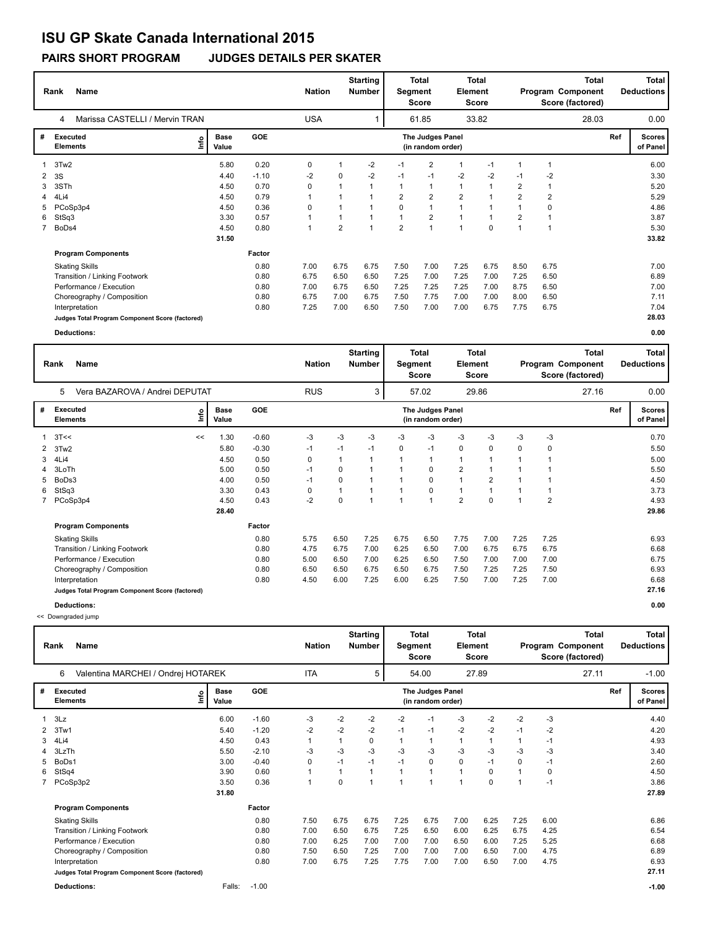## **ISU GP Skate Canada International 2015**

**PAIRS SHORT PROGRAM JUDGES DETAILS PER SKATER**

|                | Name<br>Rank                                    |                      | <b>Nation</b> |            | <b>Starting</b><br><b>Number</b> | <b>Total</b><br><b>Total</b><br>Element<br>Segment<br>Score<br><b>Score</b> |                |                                       |                | Total<br>Program Component<br>Score (factored) |                |                |       | <b>Total</b><br><b>Deductions</b> |                           |
|----------------|-------------------------------------------------|----------------------|---------------|------------|----------------------------------|-----------------------------------------------------------------------------|----------------|---------------------------------------|----------------|------------------------------------------------|----------------|----------------|-------|-----------------------------------|---------------------------|
|                | Marissa CASTELLI / Mervin TRAN<br>4             |                      |               | <b>USA</b> |                                  |                                                                             |                | 61.85                                 |                | 33.82                                          |                |                | 28.03 |                                   | 0.00                      |
| #              | Executed<br>١m<br><b>Elements</b>               | <b>Base</b><br>Value | GOE           |            |                                  |                                                                             |                | The Judges Panel<br>(in random order) |                |                                                |                |                |       | Ref                               | <b>Scores</b><br>of Panel |
| 1              | 3Tw2                                            | 5.80                 | 0.20          | 0          |                                  | $-2$                                                                        | $-1$           | 2                                     |                | $-1$                                           | $\mathbf 1$    |                |       |                                   | 6.00                      |
| $\mathbf{2}$   | -3S                                             | 4.40                 | $-1.10$       | $-2$       | 0                                | $-2$                                                                        | $-1$           | $-1$                                  | $-2$           | $-2$                                           | $-1$           | $-2$           |       |                                   | 3.30                      |
| 3              | 3STh                                            | 4.50                 | 0.70          | 0          |                                  | 1                                                                           | 1              | $\mathbf{1}$                          | $\mathbf{1}$   | $\mathbf{1}$                                   | 2              | 1              |       |                                   | 5.20                      |
|                | 4Li4                                            | 4.50                 | 0.79          | 1          |                                  |                                                                             | $\overline{2}$ | $\overline{2}$                        | $\overline{2}$ | $\overline{ }$                                 | $\overline{2}$ | $\overline{2}$ |       |                                   | 5.29                      |
| 5.             | PCoSp3p4                                        | 4.50                 | 0.36          | 0          |                                  |                                                                             | 0              | 1                                     | $\overline{1}$ |                                                |                | 0              |       |                                   | 4.86                      |
| 6              | StSq3                                           | 3.30                 | 0.57          | 1          |                                  | $\overline{\mathbf{A}}$                                                     | $\mathbf{1}$   | $\overline{2}$                        | $\overline{ }$ | $\overline{1}$                                 | 2              |                |       |                                   | 3.87                      |
| $\overline{7}$ | BoDs4                                           | 4.50                 | 0.80          | 1          | $\overline{2}$                   | 1                                                                           | $\overline{2}$ | $\overline{1}$                        | $\overline{ }$ | $\Omega$                                       | 1              | 1              |       |                                   | 5.30                      |
|                |                                                 | 31.50                |               |            |                                  |                                                                             |                |                                       |                |                                                |                |                |       |                                   | 33.82                     |
|                | <b>Program Components</b>                       |                      | Factor        |            |                                  |                                                                             |                |                                       |                |                                                |                |                |       |                                   |                           |
|                | <b>Skating Skills</b>                           |                      | 0.80          | 7.00       | 6.75                             | 6.75                                                                        | 7.50           | 7.00                                  | 7.25           | 6.75                                           | 8.50           | 6.75           |       |                                   | 7.00                      |
|                | Transition / Linking Footwork                   |                      | 0.80          | 6.75       | 6.50                             | 6.50                                                                        | 7.25           | 7.00                                  | 7.25           | 7.00                                           | 7.25           | 6.50           |       |                                   | 6.89                      |
|                | Performance / Execution                         |                      | 0.80          | 7.00       | 6.75                             | 6.50                                                                        | 7.25           | 7.25                                  | 7.25           | 7.00                                           | 8.75           | 6.50           |       |                                   | 7.00                      |
|                | Choreography / Composition                      |                      | 0.80          | 6.75       | 7.00                             | 6.75                                                                        | 7.50           | 7.75                                  | 7.00           | 7.00                                           | 8.00           | 6.50           |       |                                   | 7.11                      |
|                | Interpretation                                  |                      | 0.80          | 7.25       | 7.00                             | 6.50                                                                        | 7.50           | 7.00                                  | 7.00           | 6.75                                           | 7.75           | 6.75           |       |                                   | 7.04                      |
|                | Judges Total Program Component Score (factored) |                      |               |            |                                  |                                                                             |                |                                       |                |                                                |                |                |       |                                   | 28.03                     |
|                | <b>Deductions:</b>                              |                      |               |            |                                  |                                                                             |                |                                       |                |                                                |                |                |       |                                   | 0.00                      |

|              | <b>Name</b><br>Rank                             |      |                      |         | <b>Starting</b><br><b>Nation</b><br><b>Number</b> |      |                | Segment | Total<br><b>Score</b>                 | Element        | <b>Total</b><br><b>Score</b> | <b>Total</b><br>Program Component<br>Score (factored) |                |       | <b>Total</b><br><b>Deductions</b> |                           |
|--------------|-------------------------------------------------|------|----------------------|---------|---------------------------------------------------|------|----------------|---------|---------------------------------------|----------------|------------------------------|-------------------------------------------------------|----------------|-------|-----------------------------------|---------------------------|
|              | Vera BAZAROVA / Andrei DEPUTAT<br>5             |      |                      |         | <b>RUS</b>                                        |      | 3              |         | 57.02                                 |                | 29.86                        |                                                       |                | 27.16 |                                   | 0.00                      |
| #            | Executed<br><b>Elements</b>                     | ١nf٥ | <b>Base</b><br>Value | GOE     |                                                   |      |                |         | The Judges Panel<br>(in random order) |                |                              |                                                       |                |       | Ref                               | <b>Scores</b><br>of Panel |
|              | 3T<<                                            | <<   | 1.30                 | $-0.60$ | $-3$                                              | $-3$ | $-3$           | -3      | $-3$                                  | $-3$           | $-3$                         | $-3$                                                  | $-3$           |       |                                   | 0.70                      |
| $\mathbf{2}$ | 3Tw <sub>2</sub>                                |      | 5.80                 | $-0.30$ | $-1$                                              | $-1$ | $-1$           | 0       | $-1$                                  | 0              | 0                            | 0                                                     | 0              |       |                                   | 5.50                      |
| 3            | 4Li4                                            |      | 4.50                 | 0.50    | 0                                                 | 1    | $\overline{1}$ |         | $\overline{1}$                        | $\mathbf{1}$   | $\overline{1}$               | 1                                                     |                |       |                                   | 5.00                      |
| 4            | 3LoTh                                           |      | 5.00                 | 0.50    | $-1$                                              | 0    | $\overline{1}$ |         | 0                                     | $\overline{2}$ |                              |                                                       |                |       |                                   | 5.50                      |
| 5            | BoDs3                                           |      | 4.00                 | 0.50    | $-1$                                              | 0    | $\mathbf 1$    |         | 0                                     | $\mathbf{1}$   | $\overline{2}$               |                                                       |                |       |                                   | 4.50                      |
| 6            | StSq3                                           |      | 3.30                 | 0.43    | 0                                                 | 1    | $\overline{1}$ |         | 0                                     | $\mathbf{1}$   |                              |                                                       |                |       |                                   | 3.73                      |
|              | PCoSp3p4                                        |      | 4.50                 | 0.43    | $-2$                                              | 0    | $\overline{ }$ |         | и                                     | $\overline{2}$ | $\Omega$                     | $\overline{1}$                                        | $\overline{2}$ |       |                                   | 4.93                      |
|              |                                                 |      | 28.40                |         |                                                   |      |                |         |                                       |                |                              |                                                       |                |       |                                   | 29.86                     |
|              | <b>Program Components</b>                       |      |                      | Factor  |                                                   |      |                |         |                                       |                |                              |                                                       |                |       |                                   |                           |
|              | <b>Skating Skills</b>                           |      |                      | 0.80    | 5.75                                              | 6.50 | 7.25           | 6.75    | 6.50                                  | 7.75           | 7.00                         | 7.25                                                  | 7.25           |       |                                   | 6.93                      |
|              | Transition / Linking Footwork                   |      |                      | 0.80    | 4.75                                              | 6.75 | 7.00           | 6.25    | 6.50                                  | 7.00           | 6.75                         | 6.75                                                  | 6.75           |       |                                   | 6.68                      |
|              | Performance / Execution                         |      |                      | 0.80    | 5.00                                              | 6.50 | 7.00           | 6.25    | 6.50                                  | 7.50           | 7.00                         | 7.00                                                  | 7.00           |       |                                   | 6.75                      |
|              | Choreography / Composition                      |      |                      | 0.80    | 6.50                                              | 6.50 | 6.75           | 6.50    | 6.75                                  | 7.50           | 7.25                         | 7.25                                                  | 7.50           |       |                                   | 6.93                      |
|              | Interpretation                                  |      |                      | 0.80    | 4.50                                              | 6.00 | 7.25           | 6.00    | 6.25                                  | 7.50           | 7.00                         | 7.25                                                  | 7.00           |       |                                   | 6.68                      |
|              | Judges Total Program Component Score (factored) |      |                      |         |                                                   |      |                |         |                                       |                |                              |                                                       |                |       |                                   | 27.16                     |
|              | Deductions:                                     |      |                      |         |                                                   |      |                |         |                                       |                |                              |                                                       |                |       |                                   | 0.00                      |

<< Downgraded jump

|              | <b>Name</b><br>Rank                             | <b>Nation</b>        |         | <b>Starting</b><br><b>Number</b> | Segment | <b>Total</b><br><b>Score</b> | <b>Element</b> | Total<br>Score                        | Total<br>Program Component<br>Score (factored) |             |      | <b>Total</b><br><b>Deductions</b> |       |     |                    |
|--------------|-------------------------------------------------|----------------------|---------|----------------------------------|---------|------------------------------|----------------|---------------------------------------|------------------------------------------------|-------------|------|-----------------------------------|-------|-----|--------------------|
|              | Valentina MARCHEI / Ondrej HOTAREK<br>6         |                      |         | <b>ITA</b>                       |         | 5                            |                | 54.00                                 |                                                | 27.89       |      |                                   | 27.11 |     | $-1.00$            |
| #            | Executed<br>۴ô<br><b>Elements</b>               | <b>Base</b><br>Value | GOE     |                                  |         |                              |                | The Judges Panel<br>(in random order) |                                                |             |      |                                   |       | Ref | Scores<br>of Panel |
| $\mathbf{1}$ | 3Lz                                             | 6.00                 | $-1.60$ | $-3$                             | $-2$    | $-2$                         | $-2$           | $-1$                                  | $-3$                                           | $-2$        | $-2$ | $-3$                              |       |     | 4.40               |
| $\mathbf{2}$ | 3Tw1                                            | 5.40                 | $-1.20$ | $-2$                             | $-2$    | $-2$                         | $-1$           | $-1$                                  | $-2$                                           | $-2$        | $-1$ | -2                                |       |     | 4.20               |
| 3            | 4Li4                                            | 4.50                 | 0.43    | $\mathbf{1}$                     |         | 0                            | 1              | 1                                     | $\mathbf{1}$                                   |             |      | $-1$                              |       |     | 4.93               |
|              | 3LzTh                                           | 5.50                 | $-2.10$ | $-3$                             | $-3$    | $-3$                         | $-3$           | $-3$                                  | $-3$                                           | $-3$        | -3   | $-3$                              |       |     | 3.40               |
| 5            | BoDs1                                           | 3.00                 | $-0.40$ | 0                                | $-1$    | $-1$                         | $-1$           | $\mathbf 0$                           | 0                                              | $-1$        | 0    | $-1$                              |       |     | 2.60               |
| 6            | StSq4                                           | 3.90                 | 0.60    | 1                                |         |                              |                |                                       | $\mathbf{1}$                                   | 0           |      | 0                                 |       |     | 4.50               |
|              | 7 PCoSp3p2                                      | 3.50                 | 0.36    | 1                                | 0       | 1                            |                |                                       | $\overline{A}$                                 | $\mathbf 0$ |      | $-1$                              |       |     | 3.86               |
|              |                                                 | 31.80                |         |                                  |         |                              |                |                                       |                                                |             |      |                                   |       |     | 27.89              |
|              | <b>Program Components</b>                       |                      | Factor  |                                  |         |                              |                |                                       |                                                |             |      |                                   |       |     |                    |
|              | <b>Skating Skills</b>                           |                      | 0.80    | 7.50                             | 6.75    | 6.75                         | 7.25           | 6.75                                  | 7.00                                           | 6.25        | 7.25 | 6.00                              |       |     | 6.86               |
|              | Transition / Linking Footwork                   |                      | 0.80    | 7.00                             | 6.50    | 6.75                         | 7.25           | 6.50                                  | 6.00                                           | 6.25        | 6.75 | 4.25                              |       |     | 6.54               |
|              | Performance / Execution                         |                      | 0.80    | 7.00                             | 6.25    | 7.00                         | 7.00           | 7.00                                  | 6.50                                           | 6.00        | 7.25 | 5.25                              |       |     | 6.68               |
|              | Choreography / Composition                      |                      | 0.80    | 7.50                             | 6.50    | 7.25                         | 7.00           | 7.00                                  | 7.00                                           | 6.50        | 7.00 | 4.75                              |       |     | 6.89               |
|              | Interpretation                                  |                      | 0.80    | 7.00                             | 6.75    | 7.25                         | 7.75           | 7.00                                  | 7.00                                           | 6.50        | 7.00 | 4.75                              |       |     | 6.93               |
|              | Judges Total Program Component Score (factored) |                      |         |                                  |         |                              |                |                                       |                                                |             |      |                                   |       |     | 27.11              |
|              | <b>Deductions:</b>                              | Falls:               | $-1.00$ |                                  |         |                              |                |                                       |                                                |             |      |                                   |       |     | $-1.00$            |